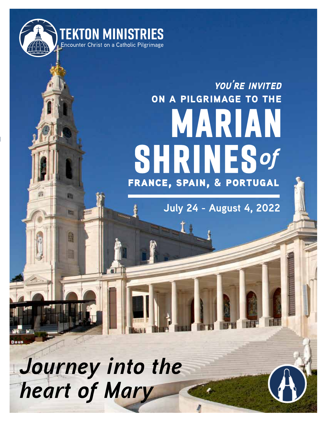

斷

甜

誦

areet

# **shrines** *of***marian on a pilgrimage to the** france, spain, & portugal *you're invited*

**July 24 - August 4, 2022**

*Journey into the heart of Mary*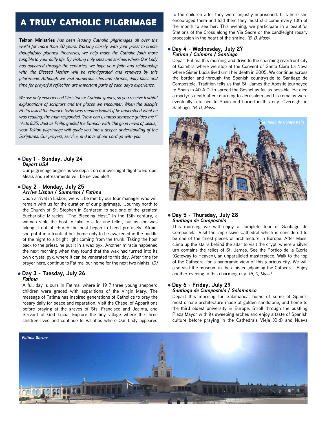# a truly catholic pilgrimage

**Tekton Ministries** *has been leading Catholic pilgrimages all over the world for more than 20 years. Working closely with your priest to create thoughtfully planned itineraries, we help make the Catholic faith more tangible to your daily life. By visiting holy sites and shrines where Our Lady has appeared through the centuries, we hope your faith and relationship with the Blessed Mother will be reinvigorated and renewed by this pilgrimage. Although we visit numerous sites and shrines, daily Mass and time for prayerful reflection are important parts of each day's experience.*

*We use only experienced Christian or Catholic guides, so you receive truthful explanations of scripture and the places we encounter. When the disciple Philip asked the Eunuch (who was reading Isaiah) if he understood what he was reading, the man responded, "How can I, unless someone guides me?" (Acts 8:35) Just as Philip guided the Eunuch with "the good news of Jesus," your Tekton pilgrimage will guide you into a deeper understanding of the Scriptures. Our prayers, service, and love of our Lord go with you.*

#### l **Day 1 - Sunday, July 24** *Depart USA*

Our pilgrimage begins as we depart on our overnight flight to Europe. Meals and refreshments will be served aloft.

## l **Day 2 - Monday, July 25**

*Arrive Lisbon / Santarem / Fatima*

Upon arrival in Lisbon, we will be met by our tour manager who will remain with us for the duration of our pilgrimage. Journey north to the Church of St. Stephen in Santarem to see one of the greatest Eucharistic Miracles, "The Bleeding Host." In the 13th century, a woman stole the host to take to a fortune-teller, but as she was taking it out of church the host began to bleed profusely. Afraid, she put it in a trunk at her home only to be awakened in the middle of the night to a bright light coming from the trunk. Taking the host back to the priest, he put it in a wax pyx. Another miracle happened the next morning when they found that the wax had turned into its own crystal pyx, where it can be venerated to this day. After time for prayer here, continue to Fatima, our home for the next two nights. *(D)*

### l **Day 3 - Tuesday, July 26**

#### *Fatima*

A full day is ours in Fatima, where in 1917 three young shepherd children were graced with apparitions of the Virgin Mary. The message of Fatima has inspired generations of Catholics to pray the rosary daily for peace and reparation. Visit the Chapel of Apparitions before praying at the graves of Sts. Francisco and Jacinta, and Servant of God Lucia. Explore the tiny village where the three children lived and continue to Valinhos where Our Lady appeared to the children after they were unjustly imprisoned. It is here she encouraged them and told them they must still come every 13th of the month to see her. This evening, we participate in a beautiful Stations of the Cross along the Via Sacre or the candlelight rosary procession in the heart of the shrine. *(B, D, Mass)*

#### l **Day 4 - Wednesday, July 27** *Fatima / Coimbra / Santiago*

Depart Fatima this morning and drive to the charming riverfront city of Coimbra where we stop at the Convent of Santa Clara La Nova where Sister Lucia lived until her death in 2005. We continue across the border and through the Spanish countryside to Santiago de Compostela. Tradition tells us that St. James the Apostle journeyed to Spain in 40 A.D. to spread the Gospel as far as possible. He died a martyr's death after returning to Jerusalem and his remains were eventually returned to Spain and buried in this city. Overnight in Santiago. *(B, D, Mass)*



#### l **Day 5 - Thursday, July 28** *Santiago de Compostela*

This morning we will enjoy a complete tour of Santiago de Compostela. Visit the impressive Cathedral which is considered to be one of the finest pieces of architecture in Europe. After Mass, climb up the stairs behind the altar to visit the crypt, where a silver urn contains the relics of St. James. See the Portico de la Gloria (Gateway to Heaven), an unparalleled masterpiece. Walk to the top of the Cathedral for a panoramic view of this glorious city. We will also visit the museum in the cloister adjoining the Cathedral. Enjoy another evening in this charming city. *(B, D, Mass)*

#### l **Day 6 - Friday, July 29** *Santiago de Compostela / Salamanca*

Depart this morning for Salamanca, home of some of Spain's most ornate architecture made of golden sandstone, and home to the third oldest university in Europe. Stroll through the bustling Plaza Mayor with its sweeping arches and enjoy a taste of Spanish culture before praying in the Cathedrals Vieja (Old) and Nueva

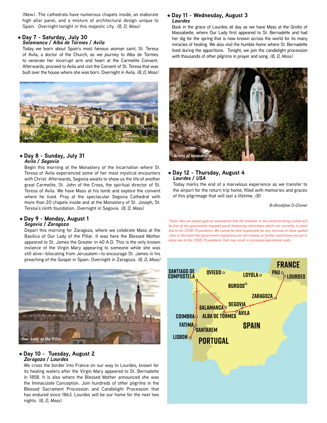(New). The cathedrals have numerous chapels inside, an elaborate high altar panel, and a mixture of architectural design unique to Spain. Overnight tonight in this majestic city. *(B, D, Mass)*

#### l **Day 7 - Saturday, July 30** *Salamanca / Alba de Tormes / Avila*

Today we learn about Spain's most famous woman saint, St. Teresa of Avila, a doctor of the Church, as we journey to Alba de Tormes to venerate her incorrupt arm and heart at the Carmelite Convent. Afterwards, proceed to Avila and visit the Convent of St. Teresa that was built over the house where she was born. Overnight in Avila. *(B, D, Mass)*



#### l **Day 8 - Sunday, July 31** *Avila / Segovia*

Begin this morning at the Monastery of the Incarnation where St. Teresa of Avila experienced some of her most mystical encounters with Christ. Afterwards, Segovia awaits to show us the life of another great Carmelite, St. John of the Cross, the spiritual director of St. Teresa of Avila. We have Mass at his tomb and explore the convent where he lived. Pray at the spectacular Segovia Cathedral with more than 20 chapels inside and at the Monastery of St. Joseph, St. Teresa's ninth foundation. Overnight in Segovia. *(B, D, Mass)*

#### l **Day 9 - Monday, August 1** *Segovia / Zaragoza*

Depart this morning for Zaragoza, where we celebrate Mass at the Basilica of Our Lady of the Pillar. It was here the Blessed Mother appeared to St. James the Greater in 40 A.D. This is the only known instance of the Virgin Mary appearing to someone while she was still alive—bilocating from Jerusalem—to encourage St. James in his preaching of the Gospel in Spain. Overnight in Zaragoza. *(B, D, Mass)*



#### l **Day 10 - Tuesday, August 2** *Zaragoza / Lourdes*

We cross the border into France on our way to Lourdes, known for its healing waters after the Virgin Mary appeared to St. Bernadette in 1858. It is also where the Blessed Mother announced she was the Immaculate Conception. Join hundreds of other pilgrims in the Blessed Sacrament Procession and Candlelight Procession that has endured since 1863. Lourdes will be our home for the next two nights. *(B, D, Mass)*

#### l **Day 11 - Wednesday, August 3** *Lourdes*

Bask in the grace of Lourdes all day as we have Mass at the Grotto of Massabielle, where Our Lady first appeared to St. Bernadette and had her dig for the spring that is now known across the world for its many miracles of healing. We also visit the humble home where St. Bernadette lived during the apparitions. Tonight, we join the candlelight procession with thousands of other pilgrims in prayer and song. *(B, D, Mass)*



#### l **Day 12 - Thursday, August 4** *Lourdes / USA*

Today marks the end of a marvelous experience as we transfer to the airport for the return trip home, filled with memories and graces of this pilgrimage that will last a lifetime. *(B)*

*B=Breakfast D=Dinner*

*These rates are based upon an assumption that the situation in the countries being visited will be free of the government-imposed social distancing restrictions which are currently in place due to the COVID-19 pandemic. We cannot be held responsible for any increase in these quoted rates in the event that government regulations are not relaxed, or further restrictions are put in place due to the COVID-19 pandemic that may result in increased operational costs.*